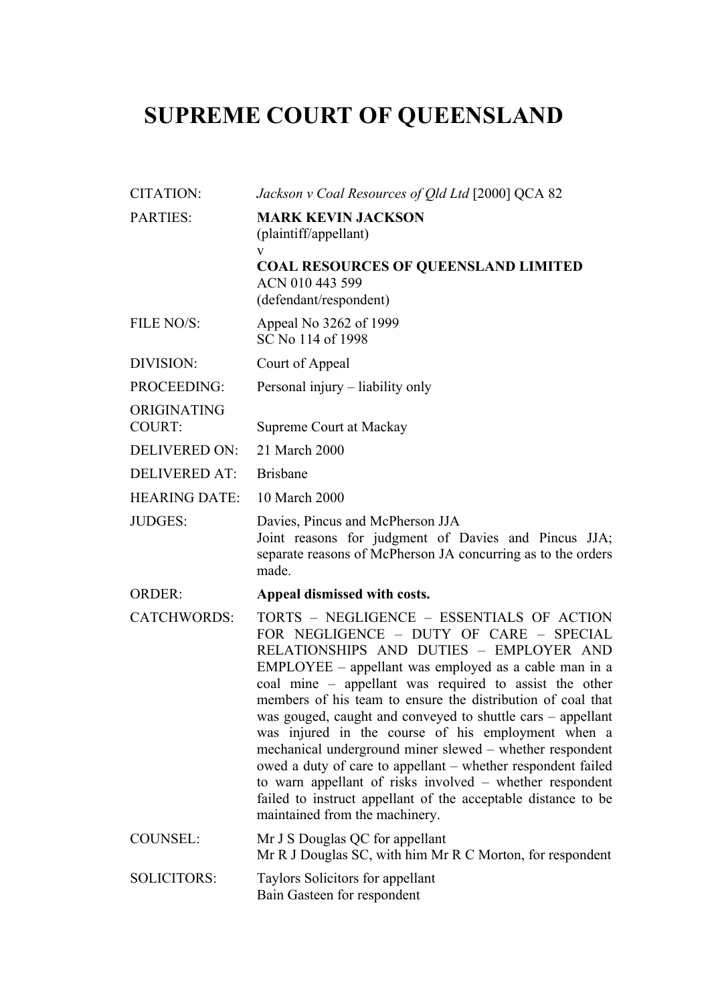## **SUPREME COURT OF QUEENSLAND**

| <b>CITATION:</b>             | Jackson v Coal Resources of Qld Ltd [2000] QCA 82                                                                                                                                                                                                                                                                                                                                                                                                                                                                                                                                                                                                                                                                                 |
|------------------------------|-----------------------------------------------------------------------------------------------------------------------------------------------------------------------------------------------------------------------------------------------------------------------------------------------------------------------------------------------------------------------------------------------------------------------------------------------------------------------------------------------------------------------------------------------------------------------------------------------------------------------------------------------------------------------------------------------------------------------------------|
| <b>PARTIES:</b>              | <b>MARK KEVIN JACKSON</b><br>(plaintiff/appellant)<br>V                                                                                                                                                                                                                                                                                                                                                                                                                                                                                                                                                                                                                                                                           |
|                              | <b>COAL RESOURCES OF QUEENSLAND LIMITED</b><br>ACN 010 443 599<br>(defendant/respondent)                                                                                                                                                                                                                                                                                                                                                                                                                                                                                                                                                                                                                                          |
| FILE NO/S:                   | Appeal No 3262 of 1999<br>SC No 114 of 1998                                                                                                                                                                                                                                                                                                                                                                                                                                                                                                                                                                                                                                                                                       |
| DIVISION:                    | Court of Appeal                                                                                                                                                                                                                                                                                                                                                                                                                                                                                                                                                                                                                                                                                                                   |
| PROCEEDING:                  | Personal injury – liability only                                                                                                                                                                                                                                                                                                                                                                                                                                                                                                                                                                                                                                                                                                  |
| ORIGINATING<br><b>COURT:</b> | Supreme Court at Mackay                                                                                                                                                                                                                                                                                                                                                                                                                                                                                                                                                                                                                                                                                                           |
| <b>DELIVERED ON:</b>         | 21 March 2000                                                                                                                                                                                                                                                                                                                                                                                                                                                                                                                                                                                                                                                                                                                     |
| <b>DELIVERED AT:</b>         | <b>Brisbane</b>                                                                                                                                                                                                                                                                                                                                                                                                                                                                                                                                                                                                                                                                                                                   |
| <b>HEARING DATE:</b>         | 10 March 2000                                                                                                                                                                                                                                                                                                                                                                                                                                                                                                                                                                                                                                                                                                                     |
| <b>JUDGES:</b>               | Davies, Pincus and McPherson JJA<br>Joint reasons for judgment of Davies and Pincus JJA;<br>separate reasons of McPherson JA concurring as to the orders<br>made.                                                                                                                                                                                                                                                                                                                                                                                                                                                                                                                                                                 |
| <b>ORDER:</b>                | Appeal dismissed with costs.                                                                                                                                                                                                                                                                                                                                                                                                                                                                                                                                                                                                                                                                                                      |
| <b>CATCHWORDS:</b>           | TORTS - NEGLIGENCE - ESSENTIALS OF ACTION<br>FOR NEGLIGENCE - DUTY OF CARE - SPECIAL<br>RELATIONSHIPS AND DUTIES - EMPLOYER AND<br>EMPLOYEE – appellant was employed as a cable man in a<br>coal mine – appellant was required to assist the other<br>members of his team to ensure the distribution of coal that<br>was gouged, caught and conveyed to shuttle cars – appellant<br>was injured in the course of his employment when a<br>mechanical underground miner slewed – whether respondent<br>owed a duty of care to appellant – whether respondent failed<br>to warn appellant of risks involved – whether respondent<br>failed to instruct appellant of the acceptable distance to be<br>maintained from the machinery. |
| COUNSEL:                     | Mr J S Douglas QC for appellant<br>Mr R J Douglas SC, with him Mr R C Morton, for respondent                                                                                                                                                                                                                                                                                                                                                                                                                                                                                                                                                                                                                                      |
| <b>SOLICITORS:</b>           | Taylors Solicitors for appellant<br>Bain Gasteen for respondent                                                                                                                                                                                                                                                                                                                                                                                                                                                                                                                                                                                                                                                                   |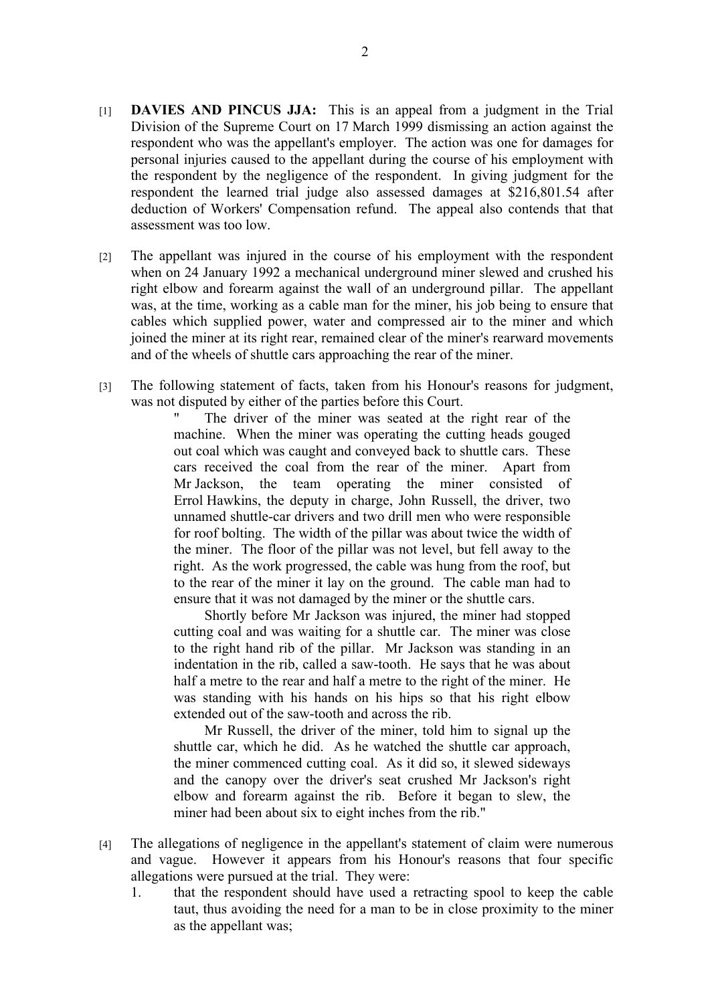- [1] **DAVIES AND PINCUS JJA:** This is an appeal from a judgment in the Trial Division of the Supreme Court on 17 March 1999 dismissing an action against the respondent who was the appellant's employer. The action was one for damages for personal injuries caused to the appellant during the course of his employment with the respondent by the negligence of the respondent. In giving judgment for the respondent the learned trial judge also assessed damages at \$216,801.54 after deduction of Workers' Compensation refund. The appeal also contends that that assessment was too low.
- [2] The appellant was injured in the course of his employment with the respondent when on 24 January 1992 a mechanical underground miner slewed and crushed his right elbow and forearm against the wall of an underground pillar. The appellant was, at the time, working as a cable man for the miner, his job being to ensure that cables which supplied power, water and compressed air to the miner and which joined the miner at its right rear, remained clear of the miner's rearward movements and of the wheels of shuttle cars approaching the rear of the miner.
- [3] The following statement of facts, taken from his Honour's reasons for judgment, was not disputed by either of the parties before this Court.

The driver of the miner was seated at the right rear of the machine. When the miner was operating the cutting heads gouged out coal which was caught and conveyed back to shuttle cars. These cars received the coal from the rear of the miner. Apart from Mr Jackson, the team operating the miner consisted of Errol Hawkins, the deputy in charge, John Russell, the driver, two unnamed shuttle-car drivers and two drill men who were responsible for roof bolting. The width of the pillar was about twice the width of the miner. The floor of the pillar was not level, but fell away to the right. As the work progressed, the cable was hung from the roof, but to the rear of the miner it lay on the ground. The cable man had to ensure that it was not damaged by the miner or the shuttle cars.

Shortly before Mr Jackson was injured, the miner had stopped cutting coal and was waiting for a shuttle car. The miner was close to the right hand rib of the pillar. Mr Jackson was standing in an indentation in the rib, called a saw-tooth. He says that he was about half a metre to the rear and half a metre to the right of the miner. He was standing with his hands on his hips so that his right elbow extended out of the saw-tooth and across the rib.

Mr Russell, the driver of the miner, told him to signal up the shuttle car, which he did. As he watched the shuttle car approach, the miner commenced cutting coal. As it did so, it slewed sideways and the canopy over the driver's seat crushed Mr Jackson's right elbow and forearm against the rib. Before it began to slew, the miner had been about six to eight inches from the rib."

- [4] The allegations of negligence in the appellant's statement of claim were numerous and vague. However it appears from his Honour's reasons that four specific allegations were pursued at the trial. They were:
	- 1. that the respondent should have used a retracting spool to keep the cable taut, thus avoiding the need for a man to be in close proximity to the miner as the appellant was;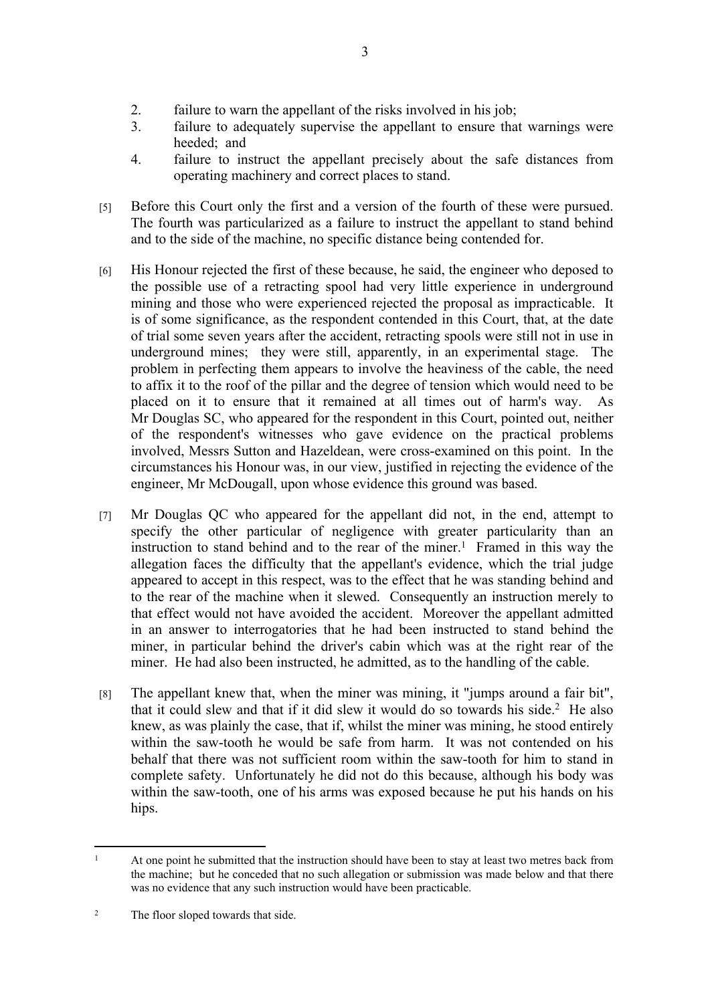- 2. failure to warn the appellant of the risks involved in his job;
- 3. failure to adequately supervise the appellant to ensure that warnings were heeded; and
- 4. failure to instruct the appellant precisely about the safe distances from operating machinery and correct places to stand.
- [5] Before this Court only the first and a version of the fourth of these were pursued. The fourth was particularized as a failure to instruct the appellant to stand behind and to the side of the machine, no specific distance being contended for.
- [6] His Honour rejected the first of these because, he said, the engineer who deposed to the possible use of a retracting spool had very little experience in underground mining and those who were experienced rejected the proposal as impracticable. It is of some significance, as the respondent contended in this Court, that, at the date of trial some seven years after the accident, retracting spools were still not in use in underground mines; they were still, apparently, in an experimental stage. The problem in perfecting them appears to involve the heaviness of the cable, the need to affix it to the roof of the pillar and the degree of tension which would need to be placed on it to ensure that it remained at all times out of harm's way. As Mr Douglas SC, who appeared for the respondent in this Court, pointed out, neither of the respondent's witnesses who gave evidence on the practical problems involved, Messrs Sutton and Hazeldean, were cross-examined on this point. In the circumstances his Honour was, in our view, justified in rejecting the evidence of the engineer, Mr McDougall, upon whose evidence this ground was based.
- [7] Mr Douglas QC who appeared for the appellant did not, in the end, attempt to specify the other particular of negligence with greater particularity than an instruction to stand behind and to the rear of the miner.<sup>1</sup> Framed in this way the allegation faces the difficulty that the appellant's evidence, which the trial judge appeared to accept in this respect, was to the effect that he was standing behind and to the rear of the machine when it slewed. Consequently an instruction merely to that effect would not have avoided the accident. Moreover the appellant admitted in an answer to interrogatories that he had been instructed to stand behind the miner, in particular behind the driver's cabin which was at the right rear of the miner. He had also been instructed, he admitted, as to the handling of the cable.
- [8] The appellant knew that, when the miner was mining, it "jumps around a fair bit", that it could slew and that if it did slew it would do so towards his side.<sup>2</sup> He also knew, as was plainly the case, that if, whilst the miner was mining, he stood entirely within the saw-tooth he would be safe from harm. It was not contended on his behalf that there was not sufficient room within the saw-tooth for him to stand in complete safety. Unfortunately he did not do this because, although his body was within the saw-tooth, one of his arms was exposed because he put his hands on his hips.

<sup>&</sup>lt;sup>1</sup> At one point he submitted that the instruction should have been to stay at least two metres back from the machine; but he conceded that no such allegation or submission was made below and that there was no evidence that any such instruction would have been practicable.

<sup>&</sup>lt;sup>2</sup> The floor sloped towards that side.